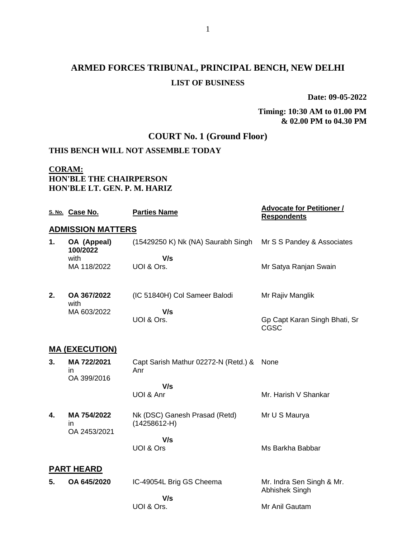**Date: 09-05-2022**

#### **Timing: 10:30 AM to 01.00 PM & 02.00 PM to 04.30 PM**

### **COURT No. 1 (Ground Floor)**

### **THIS BENCH WILL NOT ASSEMBLE TODAY**

#### **CORAM: HON'BLE THE CHAIRPERSON HON'BLE LT. GEN. P. M. HARIZ**

|    | S. No. Case No.                    | <b>Parties Name</b>                             | <b>Advocate for Petitioner /</b><br><b>Respondents</b> |  |  |
|----|------------------------------------|-------------------------------------------------|--------------------------------------------------------|--|--|
|    | <b>ADMISSION MATTERS</b>           |                                                 |                                                        |  |  |
| 1. | OA (Appeal)<br>100/2022            | (15429250 K) Nk (NA) Saurabh Singh              | Mr S S Pandey & Associates                             |  |  |
|    | with                               | V/s                                             |                                                        |  |  |
|    | MA 118/2022                        | UOI & Ors.                                      | Mr Satya Ranjan Swain                                  |  |  |
| 2. | OA 367/2022<br>with                | (IC 51840H) Col Sameer Balodi                   | Mr Rajiv Manglik                                       |  |  |
|    | MA 603/2022                        | V/s                                             |                                                        |  |  |
|    |                                    | UOI & Ors.                                      | Gp Capt Karan Singh Bhati, Sr<br>CGSC                  |  |  |
|    | <b>MA (EXECUTION)</b>              |                                                 |                                                        |  |  |
| 3. | MA 722/2021<br>in                  | Capt Sarish Mathur 02272-N (Retd.) &<br>Anr     | None                                                   |  |  |
|    | OA 399/2016                        | V/s                                             |                                                        |  |  |
|    |                                    | UOI & Anr                                       | Mr. Harish V Shankar                                   |  |  |
| 4. | MA 754/2022<br>in.<br>OA 2453/2021 | Nk (DSC) Ganesh Prasad (Retd)<br>$(14258612-H)$ | Mr U S Maurya                                          |  |  |
|    |                                    | V/s                                             |                                                        |  |  |
|    |                                    | UOI & Ors                                       | Ms Barkha Babbar                                       |  |  |
|    | <b>PART HEARD</b>                  |                                                 |                                                        |  |  |
| 5. | OA 645/2020                        | IC-49054L Brig GS Cheema                        | Mr. Indra Sen Singh & Mr.<br>Abhishek Singh            |  |  |
|    |                                    | V/s                                             |                                                        |  |  |
|    |                                    | UOI & Ors.                                      | Mr Anil Gautam                                         |  |  |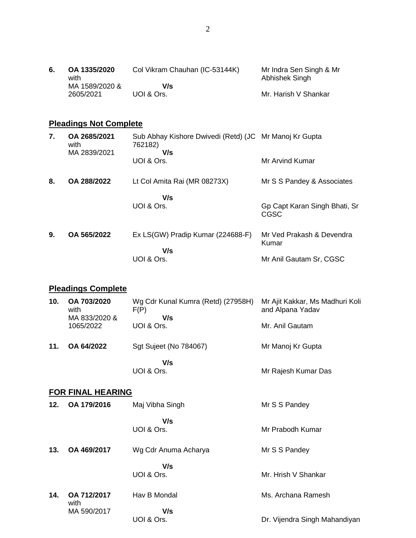| 6. | OA 1335/2020   | Col Vikram Chauhan (IC-53144K) | Mr Indra Sen Singh & Mr |
|----|----------------|--------------------------------|-------------------------|
|    | with           |                                | Abhishek Singh          |
|    | MA 1589/2020 & | V/s                            |                         |
|    | 2605/2021      | UOI & Ors.                     | Mr. Harish V Shankar    |

## **Pleadings Not Complete**

| 7. | OA 2685/2021<br>with<br>MA 2839/2021 | Sub Abhay Kishore Dwivedi (Retd) (JC Mr Manoj Kr Gupta<br>762182)<br>V/s |                                       |
|----|--------------------------------------|--------------------------------------------------------------------------|---------------------------------------|
|    |                                      | UOI & Ors.                                                               | Mr Arvind Kumar                       |
| 8. | OA 288/2022                          | Lt Col Amita Rai (MR 08273X)                                             | Mr S S Pandey & Associates            |
|    |                                      | V/s<br>UOI & Ors.                                                        | Gp Capt Karan Singh Bhati, Sr<br>CGSC |
| 9. | OA 565/2022                          | Ex LS(GW) Pradip Kumar (224688-F)<br>V/s                                 | Mr Ved Prakash & Devendra<br>Kumar    |
|    |                                      | UOI & Ors.                                                               | Mr Anil Gautam Sr, CGSC               |

## **Pleadings Complete**

| 10. | OA 703/2020<br>with<br>MA 833/2020 &<br>1065/2022 | Wg Cdr Kunal Kumra (Retd) (27958H)<br>F(P)<br>V/s<br>UOI & Ors. | Mr Ajit Kakkar, Ms Madhuri Koli<br>and Alpana Yadav<br>Mr. Anil Gautam |
|-----|---------------------------------------------------|-----------------------------------------------------------------|------------------------------------------------------------------------|
| 11. | OA 64/2022                                        | <b>Sgt Sujeet (No 784067)</b>                                   | Mr Manoj Kr Gupta                                                      |
|     |                                                   | V/s<br>UOI & Ors.                                               | Mr Rajesh Kumar Das                                                    |

### **FOR FINAL HEARING**

| 12. | OA 179/2016         | Maj Vibha Singh      | Mr S S Pandey                 |
|-----|---------------------|----------------------|-------------------------------|
|     |                     | V/s<br>UOI & Ors.    | Mr Prabodh Kumar              |
| 13. | OA 469/2017         | Wg Cdr Anuma Acharya | Mr S S Pandey                 |
|     |                     | V/s<br>UOI & Ors.    | Mr. Hrish V Shankar           |
| 14. | OA 712/2017<br>with | Hav B Mondal         | Ms. Archana Ramesh            |
|     | MA 590/2017         | V/s<br>UOI & Ors.    | Dr. Vijendra Singh Mahandiyan |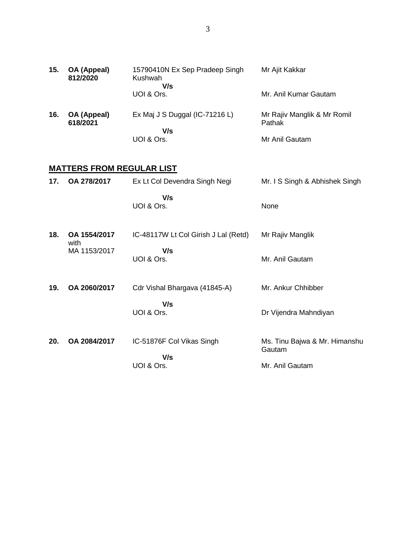| 15. | OA (Appeal)<br>812/2020          | 15790410N Ex Sep Pradeep Singh<br>Kushwah | Mr Ajit Kakkar                        |  |  |
|-----|----------------------------------|-------------------------------------------|---------------------------------------|--|--|
|     |                                  | V/s<br>UOI & Ors.                         | Mr. Anil Kumar Gautam                 |  |  |
| 16. | OA (Appeal)<br>618/2021          | Ex Maj J S Duggal (IC-71216 L)            | Mr Rajiv Manglik & Mr Romil<br>Pathak |  |  |
|     |                                  | V/s<br>UOI & Ors.                         | Mr Anil Gautam                        |  |  |
|     | <b>MATTERS FROM REGULAR LIST</b> |                                           |                                       |  |  |

| 17. | OA 278/2017          | Ex Lt Col Devendra Singh Negi        | Mr. I S Singh & Abhishek Singh          |
|-----|----------------------|--------------------------------------|-----------------------------------------|
|     |                      | V/s<br>UOI & Ors.                    | None                                    |
| 18. | OA 1554/2017<br>with | IC-48117W Lt Col Girish J Lal (Retd) | Mr Rajiv Manglik                        |
|     | MA 1153/2017         | V/s<br>UOI & Ors.                    | Mr. Anil Gautam                         |
| 19. | OA 2060/2017         | Cdr Vishal Bhargava (41845-A)        | Mr. Ankur Chhibber                      |
|     |                      | V/s<br>UOI & Ors.                    | Dr Vijendra Mahndiyan                   |
| 20. | OA 2084/2017         | IC-51876F Col Vikas Singh            | Ms. Tinu Bajwa & Mr. Himanshu<br>Gautam |
|     |                      | V/s<br>UOI & Ors.                    | Mr. Anil Gautam                         |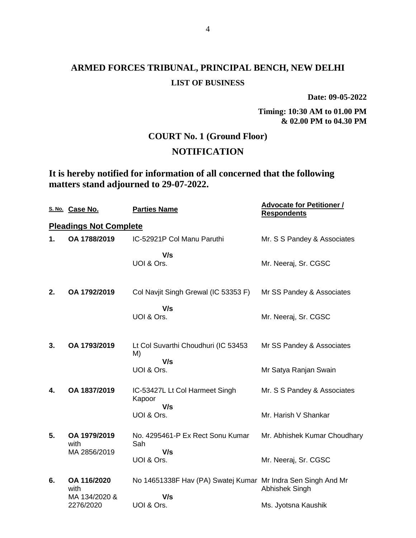**Date: 09-05-2022**

**Timing: 10:30 AM to 01.00 PM & 02.00 PM to 04.30 PM**

### **COURT No. 1 (Ground Floor)**

### **NOTIFICATION**

**It is hereby notified for information of all concerned that the following matters stand adjourned to 29-07-2022.**

|    | S. No. Case No.                      | <b>Parties Name</b>                                                 | <b>Advocate for Petitioner /</b><br><b>Respondents</b> |
|----|--------------------------------------|---------------------------------------------------------------------|--------------------------------------------------------|
|    | <b>Pleadings Not Complete</b>        |                                                                     |                                                        |
| 1. | OA 1788/2019                         | IC-52921P Col Manu Paruthi                                          | Mr. S S Pandey & Associates                            |
|    |                                      | V/s<br>UOI & Ors.                                                   | Mr. Neeraj, Sr. CGSC                                   |
| 2. | OA 1792/2019                         | Col Navjit Singh Grewal (IC 53353 F)                                | Mr SS Pandey & Associates                              |
|    |                                      | V/s<br>UOI & Ors.                                                   | Mr. Neeraj, Sr. CGSC                                   |
| 3. | OA 1793/2019                         | Lt Col Suvarthi Choudhuri (IC 53453<br>M)<br>V/s                    | Mr SS Pandey & Associates                              |
|    |                                      | UOI & Ors.                                                          | Mr Satya Ranjan Swain                                  |
| 4. | OA 1837/2019                         | IC-53427L Lt Col Harmeet Singh<br>Kapoor<br>V/s                     | Mr. S S Pandey & Associates                            |
|    |                                      | UOI & Ors.                                                          | Mr. Harish V Shankar                                   |
| 5. | OA 1979/2019<br>with                 | No. 4295461-P Ex Rect Sonu Kumar<br>Sah                             | Mr. Abhishek Kumar Choudhary                           |
|    | MA 2856/2019                         | V/s<br>UOI & Ors.                                                   | Mr. Neeraj, Sr. CGSC                                   |
| 6. | OA 116/2020<br>with<br>MA 134/2020 & | No 14651338F Hav (PA) Swatej Kumar Mr Indra Sen Singh And Mr<br>V/s | Abhishek Singh                                         |
|    | 2276/2020                            | UOI & Ors.                                                          | Ms. Jyotsna Kaushik                                    |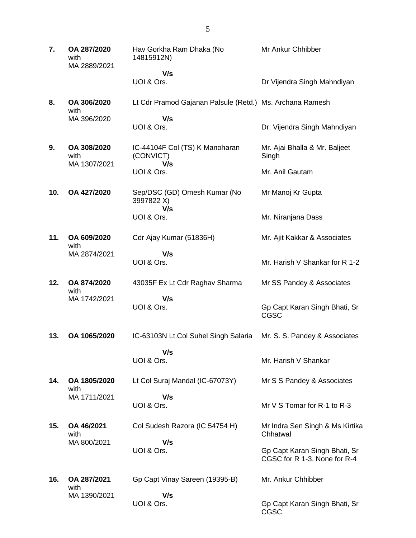**7. OA 287/2020** with MA 2889/2021 Hav Gorkha Ram Dhaka (No 14815912N)  **V/s** UOI & Ors. Mr Ankur Chhibber Dr Vijendra Singh Mahndiyan **8. OA 306/2020** with MA 396/2020 Lt Cdr Pramod Gajanan Palsule (Retd.) Ms. Archana Ramesh  **V/s** UOI & Ors. Dr. Vijendra Singh Mahndiyan **9. OA 308/2020** with MA 1307/2021 IC-44104F Col (TS) K Manoharan (CONVICT)  **V/s** UOI & Ors. Mr. Ajai Bhalla & Mr. Baljeet Singh Mr. Anil Gautam **10. OA 427/2020** Sep/DSC (GD) Omesh Kumar (No 3997822 X)  **V/s** UOI & Ors. Mr Manoj Kr Gupta Mr. Niranjana Dass **11. OA 609/2020** with MA 2874/2021 Cdr Ajay Kumar (51836H)  **V/s** UOI & Ors. Mr. Ajit Kakkar & Associates Mr. Harish V Shankar for R 1-2 **12. OA 874/2020** with MA 1742/2021 43035F Ex Lt Cdr Raghav Sharma  **V/s** UOI & Ors. Mr SS Pandey & Associates Gp Capt Karan Singh Bhati, Sr CGSC **13. OA 1065/2020** IC-63103N Lt.Col Suhel Singh Salaria  **V/s** UOI & Ors. Mr. S. S. Pandey & Associates Mr. Harish V Shankar **14. OA 1805/2020** with MA 1711/2021 Lt Col Suraj Mandal (IC-67073Y)  **V/s** UOI & Ors. Mr S S Pandey & Associates Mr V S Tomar for R-1 to R-3 **15. OA 46/2021** with MA 800/2021 Col Sudesh Razora (IC 54754 H)  **V/s** UOI & Ors. Mr Indra Sen Singh & Ms Kirtika Chhatwal Gp Capt Karan Singh Bhati, Sr CGSC for R 1-3, None for R-4 **16. OA 287/2021** with MA 1390/2021 Gp Capt Vinay Sareen (19395-B)  **V/s** UOI & Ors. Mr. Ankur Chhibber Gp Capt Karan Singh Bhati, Sr CGSC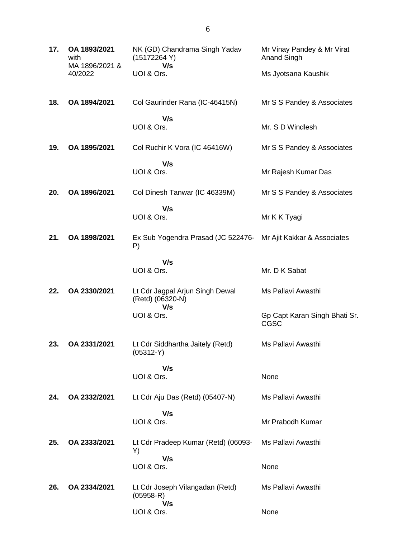| 17. | OA 1893/2021<br>with<br>MA 1896/2021 & | NK (GD) Chandrama Singh Yadav<br>(15172264 Y)<br>V/s    | Mr Vinay Pandey & Mr Virat<br>Anand Singh    |
|-----|----------------------------------------|---------------------------------------------------------|----------------------------------------------|
|     | 40/2022                                | UOI & Ors.                                              | Ms Jyotsana Kaushik                          |
| 18. | OA 1894/2021                           | Col Gaurinder Rana (IC-46415N)                          | Mr S S Pandey & Associates                   |
|     |                                        | V/s<br>UOI & Ors.                                       | Mr. S D Windlesh                             |
| 19. | OA 1895/2021                           | Col Ruchir K Vora (IC 46416W)                           | Mr S S Pandey & Associates                   |
|     |                                        | V/s<br>UOI & Ors.                                       | Mr Rajesh Kumar Das                          |
| 20. | OA 1896/2021                           | Col Dinesh Tanwar (IC 46339M)                           | Mr S S Pandey & Associates                   |
|     |                                        | V/s<br>UOI & Ors.                                       | Mr K K Tyagi                                 |
| 21. | OA 1898/2021                           | Ex Sub Yogendra Prasad (JC 522476-<br>P)                | Mr Ajit Kakkar & Associates                  |
|     |                                        | V/s<br>UOI & Ors.                                       | Mr. D K Sabat                                |
| 22. | OA 2330/2021                           | Lt Cdr Jagpal Arjun Singh Dewal<br>(Retd) (06320-N)     | Ms Pallavi Awasthi                           |
|     |                                        | V/s<br>UOI & Ors.                                       | Gp Capt Karan Singh Bhati Sr.<br><b>CGSC</b> |
| 23. | OA 2331/2021                           | Lt Cdr Siddhartha Jaitely (Retd)<br>$(05312-Y)$         | Ms Pallavi Awasthi                           |
|     |                                        | V/s<br>UOI & Ors.                                       | None                                         |
| 24. | OA 2332/2021                           | Lt Cdr Aju Das (Retd) (05407-N)                         | Ms Pallavi Awasthi                           |
|     |                                        | V/s                                                     |                                              |
|     |                                        | UOI & Ors.                                              | Mr Prabodh Kumar                             |
| 25. | OA 2333/2021                           | Lt Cdr Pradeep Kumar (Retd) (06093-<br>Y)<br>V/s        | Ms Pallavi Awasthi                           |
|     |                                        | UOI & Ors.                                              | None                                         |
| 26. | OA 2334/2021                           | Lt Cdr Joseph Vilangadan (Retd)<br>$(05958 - R)$<br>V/s | Ms Pallavi Awasthi                           |
|     |                                        | UOI & Ors.                                              | None                                         |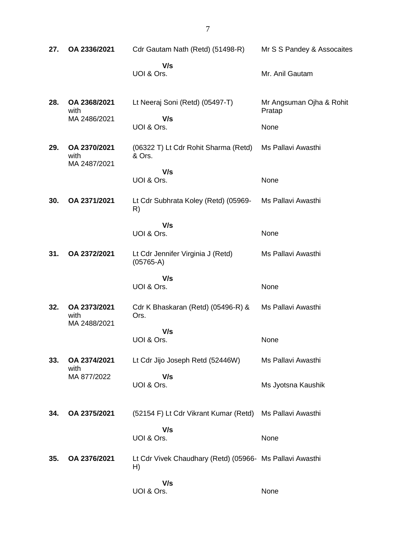| 27. | OA 2336/2021                         | Cdr Gautam Nath (Retd) (51498-R)                               | Mr S S Pandey & Assocaites                 |
|-----|--------------------------------------|----------------------------------------------------------------|--------------------------------------------|
|     |                                      | V/s<br>UOI & Ors.                                              | Mr. Anil Gautam                            |
| 28. | OA 2368/2021<br>with<br>MA 2486/2021 | Lt Neeraj Soni (Retd) (05497-T)<br>V/s<br>UOI & Ors.           | Mr Angsuman Ojha & Rohit<br>Pratap<br>None |
| 29. | OA 2370/2021<br>with<br>MA 2487/2021 | (06322 T) Lt Cdr Rohit Sharma (Retd)<br>& Ors.                 | Ms Pallavi Awasthi                         |
|     |                                      | V/s<br>UOI & Ors.                                              | None                                       |
| 30. | OA 2371/2021                         | Lt Cdr Subhrata Koley (Retd) (05969-<br>R)                     | Ms Pallavi Awasthi                         |
|     |                                      | V/s<br>UOI & Ors.                                              | None                                       |
| 31. | OA 2372/2021                         | Lt Cdr Jennifer Virginia J (Retd)<br>$(05765-A)$               | Ms Pallavi Awasthi                         |
|     |                                      | V/s<br>UOI & Ors.                                              | None                                       |
| 32. | OA 2373/2021<br>with<br>MA 2488/2021 | Cdr K Bhaskaran (Retd) (05496-R) &<br>Ors.                     | Ms Pallavi Awasthi                         |
|     |                                      | V/s<br>UOI & Ors.                                              | None                                       |
| 33. | OA 2374/2021<br>with                 | Lt Cdr Jijo Joseph Retd (52446W)                               | Ms Pallavi Awasthi                         |
|     | MA 877/2022                          | V/s<br>UOI & Ors.                                              | Ms Jyotsna Kaushik                         |
| 34. | OA 2375/2021                         | (52154 F) Lt Cdr Vikrant Kumar (Retd)                          | Ms Pallavi Awasthi                         |
|     |                                      | V/s<br>UOI & Ors.                                              | None                                       |
| 35. | OA 2376/2021                         | Lt Cdr Vivek Chaudhary (Retd) (05966- Ms Pallavi Awasthi<br>H) |                                            |
|     |                                      | V/s<br>UOI & Ors.                                              | None                                       |

7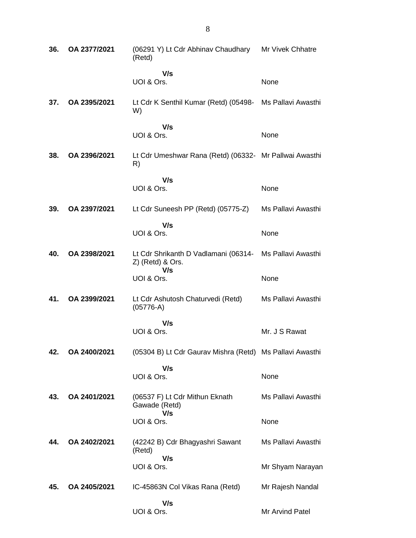| 36. | OA 2377/2021 | (06291 Y) Lt Cdr Abhinav Chaudhary<br>(Retd)                    | Mr Vivek Chhatre   |
|-----|--------------|-----------------------------------------------------------------|--------------------|
|     |              | V/s<br>UOI & Ors.                                               | None               |
| 37. | OA 2395/2021 | Lt Cdr K Senthil Kumar (Retd) (05498- Ms Pallavi Awasthi<br>W)  |                    |
|     |              | V/s<br>UOI & Ors.                                               | None               |
| 38. | OA 2396/2021 | Lt Cdr Umeshwar Rana (Retd) (06332- Mr Pallwai Awasthi<br>R)    |                    |
|     |              | V/s                                                             |                    |
|     |              | UOI & Ors.                                                      | None               |
| 39. | OA 2397/2021 | Lt Cdr Suneesh PP (Retd) (05775-Z)                              | Ms Pallavi Awasthi |
|     |              | V/s<br>UOI & Ors.                                               | None               |
| 40. | OA 2398/2021 | Lt Cdr Shrikanth D Vadlamani (06314-<br>Z) (Retd) & Ors.<br>V/s | Ms Pallavi Awasthi |
|     |              | UOI & Ors.                                                      | None               |
| 41. | OA 2399/2021 | Lt Cdr Ashutosh Chaturvedi (Retd)<br>$(05776-A)$                | Ms Pallavi Awasthi |
|     |              | V/s<br>UOI & Ors.                                               | Mr. J S Rawat      |
| 42. | OA 2400/2021 | (05304 B) Lt Cdr Gaurav Mishra (Retd) Ms Pallavi Awasthi        |                    |
|     |              | V/s                                                             |                    |
|     |              | UOI & Ors.                                                      | None               |
| 43. | OA 2401/2021 | (06537 F) Lt Cdr Mithun Eknath<br>Gawade (Retd)                 | Ms Pallavi Awasthi |
|     |              | V/s<br>UOI & Ors.                                               | None               |
| 44. | OA 2402/2021 | (42242 B) Cdr Bhagyashri Sawant<br>(Retd)                       | Ms Pallavi Awasthi |
|     |              | V/s<br>UOI & Ors.                                               | Mr Shyam Narayan   |
|     |              |                                                                 |                    |
| 45. | OA 2405/2021 | IC-45863N Col Vikas Rana (Retd)                                 | Mr Rajesh Nandal   |
|     |              | V/s<br>UOI & Ors.                                               | Mr Arvind Patel    |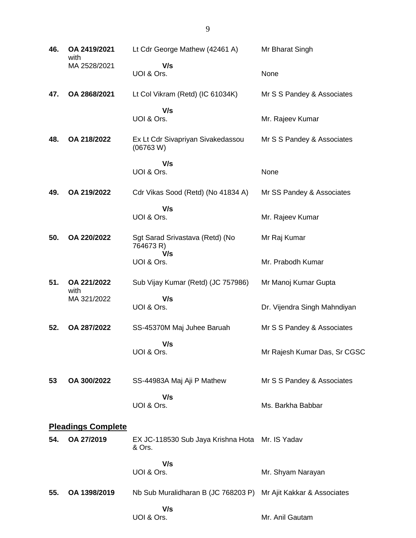| 46. | OA 2419/2021<br>with      | Lt Cdr George Mathew (42461 A)                            | Mr Bharat Singh              |
|-----|---------------------------|-----------------------------------------------------------|------------------------------|
|     | MA 2528/2021              | V/s<br>UOI & Ors.                                         | None                         |
| 47. | OA 2868/2021              | Lt Col Vikram (Retd) (IC 61034K)                          | Mr S S Pandey & Associates   |
|     |                           | V/s<br>UOI & Ors.                                         | Mr. Rajeev Kumar             |
| 48. | OA 218/2022               | Ex Lt Cdr Sivapriyan Sivakedassou<br>(06763 W)            | Mr S S Pandey & Associates   |
|     |                           | V/s<br>UOI & Ors.                                         | None                         |
| 49. | OA 219/2022               | Cdr Vikas Sood (Retd) (No 41834 A)                        | Mr SS Pandey & Associates    |
|     |                           | V/s<br>UOI & Ors.                                         | Mr. Rajeev Kumar             |
| 50. | OA 220/2022               | Sgt Sarad Srivastava (Retd) (No<br>764673 R)<br>V/s       | Mr Raj Kumar                 |
|     |                           | UOI & Ors.                                                | Mr. Prabodh Kumar            |
| 51. | OA 221/2022<br>with       | Sub Vijay Kumar (Retd) (JC 757986)                        | Mr Manoj Kumar Gupta         |
|     | MA 321/2022               | V/s<br>UOI & Ors.                                         | Dr. Vijendra Singh Mahndiyan |
| 52. | OA 287/2022               | SS-45370M Maj Juhee Baruah                                | Mr S S Pandey & Associates   |
|     |                           | V/s<br>UOI & Ors.                                         | Mr Rajesh Kumar Das, Sr CGSC |
| 53  | OA 300/2022               | SS-44983A Maj Aji P Mathew                                | Mr S S Pandey & Associates   |
|     |                           | V/s<br>UOI & Ors.                                         | Ms. Barkha Babbar            |
|     | <b>Pleadings Complete</b> |                                                           |                              |
| 54. | OA 27/2019                | EX JC-118530 Sub Jaya Krishna Hota Mr. IS Yadav<br>& Ors. |                              |
|     |                           | V/s<br>UOI & Ors.                                         | Mr. Shyam Narayan            |
| 55. | OA 1398/2019              | Nb Sub Muralidharan B (JC 768203 P)                       | Mr Ajit Kakkar & Associates  |
|     |                           | V/s<br>UOI & Ors.                                         | Mr. Anil Gautam              |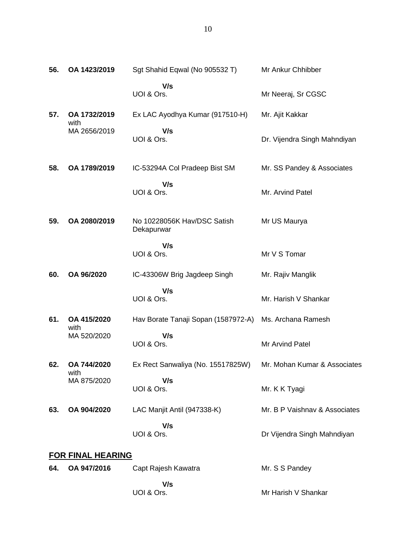| 56. | OA 1423/2019             | Sgt Shahid Eqwal (No 905532 T)                                 | Mr Ankur Chhibber             |
|-----|--------------------------|----------------------------------------------------------------|-------------------------------|
|     |                          | V/s<br>UOI & Ors.                                              | Mr Neeraj, Sr CGSC            |
| 57. | OA 1732/2019             | Ex LAC Ayodhya Kumar (917510-H)                                | Mr. Ajit Kakkar               |
|     | with<br>MA 2656/2019     | V/s<br>UOI & Ors.                                              | Dr. Vijendra Singh Mahndiyan  |
| 58. | OA 1789/2019             | IC-53294A Col Pradeep Bist SM                                  | Mr. SS Pandey & Associates    |
|     |                          | V/s<br>UOI & Ors.                                              | Mr. Arvind Patel              |
| 59. | OA 2080/2019             | No 10228056K Hav/DSC Satish<br>Dekapurwar                      | Mr US Maurya                  |
|     |                          | V/s<br>UOI & Ors.                                              | Mr V S Tomar                  |
| 60. | OA 96/2020               | IC-43306W Brig Jagdeep Singh                                   | Mr. Rajiv Manglik             |
|     |                          | V/s<br>UOI & Ors.                                              | Mr. Harish V Shankar          |
| 61. | OA 415/2020<br>with      | Hav Borate Tanaji Sopan (1587972-A) Ms. Archana Ramesh         |                               |
|     | MA 520/2020              | V/s<br>UOI & Ors.                                              | Mr Arvind Patel               |
| 62. | OA 744/2020<br>with      | Ex Rect Sanwaliya (No. 15517825W) Mr. Mohan Kumar & Associates |                               |
|     | MA 875/2020              | V/s<br>UOI & Ors.                                              | Mr. K K Tyagi                 |
| 63. | OA 904/2020              | LAC Manjit Antil (947338-K)                                    | Mr. B P Vaishnav & Associates |
|     |                          | V/s<br>UOI & Ors.                                              | Dr Vijendra Singh Mahndiyan   |
|     | <b>FOR FINAL HEARING</b> |                                                                |                               |
| 64. | OA 947/2016              | Capt Rajesh Kawatra                                            | Mr. S S Pandey                |
|     |                          | V/s<br>UOI & Ors.                                              | Mr Harish V Shankar           |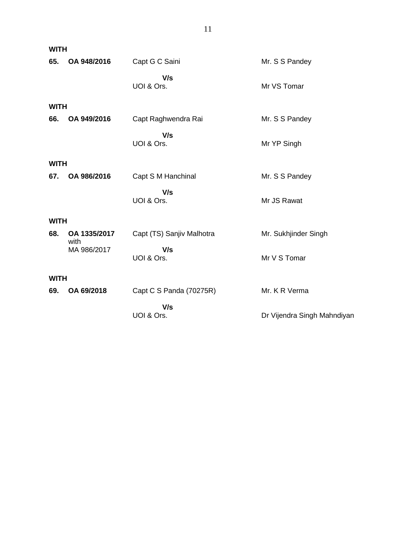| <b>WITH</b> |                      |                           |                             |
|-------------|----------------------|---------------------------|-----------------------------|
| 65.         | OA 948/2016          | Capt G C Saini            | Mr. S S Pandey              |
|             |                      | V/s<br>UOI & Ors.         | Mr VS Tomar                 |
| <b>WITH</b> |                      |                           |                             |
| 66.         | OA 949/2016          | Capt Raghwendra Rai       | Mr. S S Pandey              |
|             |                      | V/s<br>UOI & Ors.         | Mr YP Singh                 |
| <b>WITH</b> |                      |                           |                             |
| 67.         | OA 986/2016          | Capt S M Hanchinal        | Mr. S S Pandey              |
|             |                      | V/s<br>UOI & Ors.         | Mr JS Rawat                 |
| <b>WITH</b> |                      |                           |                             |
| 68.         | OA 1335/2017<br>with | Capt (TS) Sanjiv Malhotra | Mr. Sukhjinder Singh        |
|             | MA 986/2017          | V/s<br>UOI & Ors.         | Mr V S Tomar                |
| <b>WITH</b> |                      |                           |                             |
| 69.         | OA 69/2018           | Capt C S Panda (70275R)   | Mr. K R Verma               |
|             |                      | V/s                       |                             |
|             |                      | UOI & Ors.                | Dr Vijendra Singh Mahndiyan |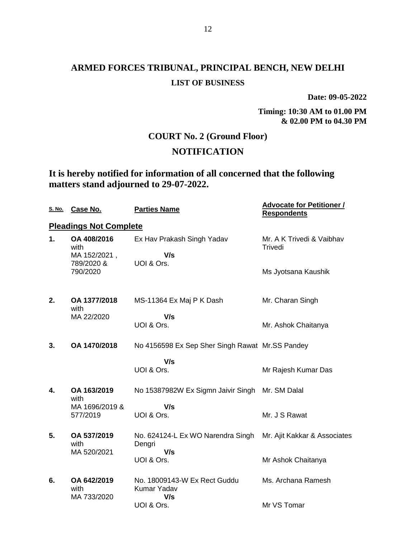**Date: 09-05-2022**

**Timing: 10:30 AM to 01.00 PM & 02.00 PM to 04.30 PM**

### **COURT No. 2 (Ground Floor)**

### **NOTIFICATION**

## **It is hereby notified for information of all concerned that the following matters stand adjourned to 29-07-2022.**

| <u>S. No.</u> | Case No.                            | <b>Parties Name</b>                                | <b>Advocate for Petitioner /</b><br><b>Respondents</b> |
|---------------|-------------------------------------|----------------------------------------------------|--------------------------------------------------------|
|               | <b>Pleadings Not Complete</b>       |                                                    |                                                        |
| 1.            | OA 408/2016<br>with<br>MA 152/2021, | Ex Hav Prakash Singh Yadav<br>V/s                  | Mr. A K Trivedi & Vaibhav<br>Trivedi                   |
|               | 789/2020 &<br>790/2020              | UOI & Ors.                                         | Ms Jyotsana Kaushik                                    |
| 2.            | OA 1377/2018<br>with                | MS-11364 Ex Maj P K Dash                           | Mr. Charan Singh                                       |
|               | MA 22/2020                          | V/s<br>UOI & Ors.                                  | Mr. Ashok Chaitanya                                    |
| 3.            | OA 1470/2018                        | No 4156598 Ex Sep Sher Singh Rawat Mr.SS Pandey    |                                                        |
|               |                                     | V/s<br>UOI & Ors.                                  | Mr Rajesh Kumar Das                                    |
| 4.            | OA 163/2019<br>with                 | No 15387982W Ex Sigmn Jaivir Singh Mr. SM Dalal    |                                                        |
|               | MA 1696/2019 &<br>577/2019          | V/s<br>UOI & Ors.                                  | Mr. J S Rawat                                          |
| 5.            | OA 537/2019<br>with                 | No. 624124-L Ex WO Narendra Singh<br>Dengri        | Mr. Ajit Kakkar & Associates                           |
|               | MA 520/2021                         | V/s<br>UOI & Ors.                                  | Mr Ashok Chaitanya                                     |
| 6.            | OA 642/2019<br>with<br>MA 733/2020  | No. 18009143-W Ex Rect Guddu<br>Kumar Yadav<br>V/s | Ms. Archana Ramesh                                     |
|               |                                     | UOI & Ors.                                         | Mr VS Tomar                                            |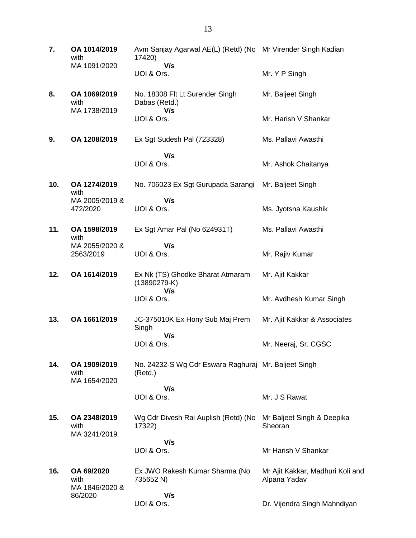| 7.  | OA 1014/2019<br>with                 | Avm Sanjay Agarwal AE(L) (Retd) (No Mr Virender Singh Kadian<br>17420) |                                                  |
|-----|--------------------------------------|------------------------------------------------------------------------|--------------------------------------------------|
|     | MA 1091/2020                         | V/s<br>UOI & Ors.                                                      | Mr. Y P Singh                                    |
| 8.  | OA 1069/2019<br>with<br>MA 1738/2019 | No. 18308 Flt Lt Surender Singh<br>Dabas (Retd.)                       | Mr. Baljeet Singh                                |
|     |                                      | V/s<br>UOI & Ors.                                                      | Mr. Harish V Shankar                             |
| 9.  | OA 1208/2019                         | Ex Sgt Sudesh Pal (723328)                                             | Ms. Pallavi Awasthi                              |
|     |                                      | V/s<br>UOI & Ors.                                                      | Mr. Ashok Chaitanya                              |
| 10. | OA 1274/2019<br>with                 | No. 706023 Ex Sgt Gurupada Sarangi                                     | Mr. Baljeet Singh                                |
|     | MA 2005/2019 &<br>472/2020           | V/s<br>UOI & Ors.                                                      | Ms. Jyotsna Kaushik                              |
| 11. | OA 1598/2019<br>with                 | Ex Sgt Amar Pal (No 624931T)                                           | Ms. Pallavi Awasthi                              |
|     | MA 2055/2020 &<br>2563/2019          | V/s<br>UOI & Ors.                                                      | Mr. Rajiv Kumar                                  |
| 12. | OA 1614/2019                         | Ex Nk (TS) Ghodke Bharat Atmaram<br>$(13890279-K)$<br>V/s              | Mr. Ajit Kakkar                                  |
|     |                                      | UOI & Ors.                                                             | Mr. Avdhesh Kumar Singh                          |
| 13. | OA 1661/2019                         | JC-375010K Ex Hony Sub Maj Prem<br>Singh                               | Mr. Ajit Kakkar & Associates                     |
|     |                                      | V/s<br>UOI & Ors.                                                      | Mr. Neeraj, Sr. CGSC                             |
| 14. | OA 1909/2019<br>with<br>MA 1654/2020 | No. 24232-S Wg Cdr Eswara Raghuraj Mr. Baljeet Singh<br>(Retd.)        |                                                  |
|     |                                      | V/s<br>UOI & Ors.                                                      | Mr. J S Rawat                                    |
|     |                                      |                                                                        |                                                  |
| 15. | OA 2348/2019<br>with<br>MA 3241/2019 | Wg Cdr Divesh Rai Auplish (Retd) (No<br>17322)                         | Mr Baljeet Singh & Deepika<br>Sheoran            |
|     |                                      | V/s<br>UOI & Ors.                                                      | Mr Harish V Shankar                              |
| 16. | OA 69/2020<br>with                   | Ex JWO Rakesh Kumar Sharma (No<br>735652 N)                            | Mr Ajit Kakkar, Madhuri Koli and<br>Alpana Yadav |
|     | MA 1846/2020 &<br>86/2020            | V/s<br>UOI & Ors.                                                      | Dr. Vijendra Singh Mahndiyan                     |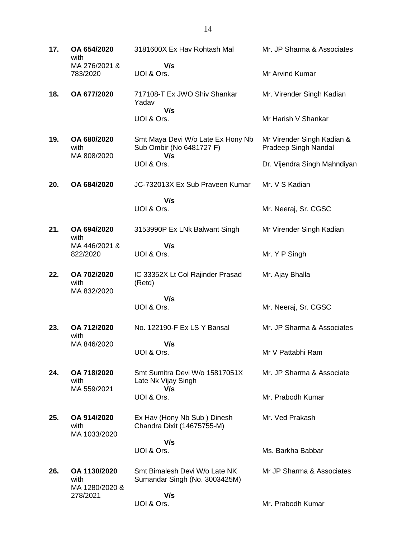**17. OA 654/2020** with MA 276/2021 & 783/2020 3181600X Ex Hav Rohtash Mal  **V/s** UOI & Ors. Mr. JP Sharma & Associates Mr Arvind Kumar **18. OA 677/2020** 717108-T Ex JWO Shiv Shankar Yadav  **V/s** UOI & Ors. Mr. Virender Singh Kadian Mr Harish V Shankar **19. OA 680/2020** with MA 808/2020 Smt Maya Devi W/o Late Ex Hony Nb Sub Ombir (No 6481727 F)  **V/s** UOI & Ors. Mr Virender Singh Kadian & Pradeep Singh Nandal Dr. Vijendra Singh Mahndiyan **20. OA 684/2020** JC-732013X Ex Sub Praveen Kumar  **V/s** UOI & Ors. Mr. V S Kadian Mr. Neeraj, Sr. CGSC **21. OA 694/2020** with MA 446/2021 & 822/2020 3153990P Ex LNk Balwant Singh  **V/s** UOI & Ors. Mr Virender Singh Kadian Mr. Y P Singh **22. OA 702/2020** with MA 832/2020 IC 33352X Lt Col Rajinder Prasad (Retd)  **V/s** UOI & Ors. Mr. Ajay Bhalla Mr. Neeraj, Sr. CGSC **23. OA 712/2020** with MA 846/2020 No. 122190-F Ex LS Y Bansal  **V/s** UOI & Ors. Mr. JP Sharma & Associates Mr V Pattabhi Ram **24. OA 718/2020** with MA 559/2021 Smt Sumitra Devi W/o 15817051X Late Nk Vijay Singh  **V/s** UOI & Ors. Mr. JP Sharma & Associate Mr. Prabodh Kumar **25. OA 914/2020** with MA 1033/2020 Ex Hav (Hony Nb Sub ) Dinesh Chandra Dixit (14675755-M)  **V/s** UOI & Ors. Mr. Ved Prakash Ms. Barkha Babbar **26. OA 1130/2020** with MA 1280/2020 & 278/2021 Smt Bimalesh Devi W/o Late NK Sumandar Singh (No. 3003425M)  **V/s** UOI & Ors. Mr JP Sharma & Associates Mr. Prabodh Kumar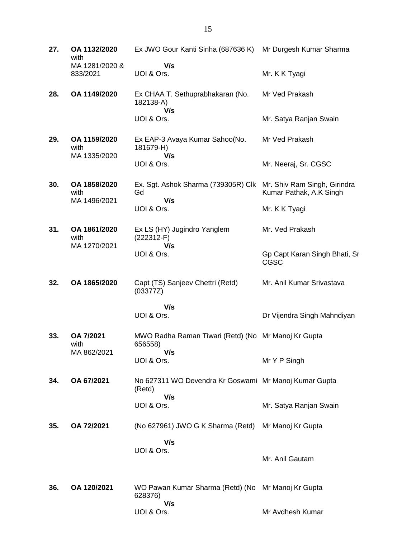| 27. | OA 1132/2020<br>with                 | Ex JWO Gour Kanti Sinha (687636 K)                                     | Mr Durgesh Kumar Sharma                                 |
|-----|--------------------------------------|------------------------------------------------------------------------|---------------------------------------------------------|
|     | MA 1281/2020 &<br>833/2021           | V/s<br>UOI & Ors.                                                      | Mr. K K Tyagi                                           |
| 28. | OA 1149/2020                         | Ex CHAA T. Sethuprabhakaran (No.<br>182138-A)<br>V/s                   | Mr Ved Prakash                                          |
|     |                                      | UOI & Ors.                                                             | Mr. Satya Ranjan Swain                                  |
| 29. | OA 1159/2020<br>with<br>MA 1335/2020 | Ex EAP-3 Avaya Kumar Sahoo(No.<br>181679-H)<br>V/s                     | Mr Ved Prakash                                          |
|     |                                      | UOI & Ors.                                                             | Mr. Neeraj, Sr. CGSC                                    |
| 30. | OA 1858/2020<br>with<br>MA 1496/2021 | Ex. Sgt. Ashok Sharma (739305R) Clk<br>Gd<br>V/s                       | Mr. Shiv Ram Singh, Girindra<br>Kumar Pathak, A.K Singh |
|     |                                      | UOI & Ors.                                                             | Mr. K K Tyagi                                           |
| 31. | OA 1861/2020<br>with<br>MA 1270/2021 | Ex LS (HY) Jugindro Yanglem<br>$(222312-F)$<br>V/s                     | Mr. Ved Prakash                                         |
|     |                                      | UOI & Ors.                                                             | Gp Capt Karan Singh Bhati, Sr<br>CGSC                   |
| 32. | OA 1865/2020                         | Capt (TS) Sanjeev Chettri (Retd)<br>(03377Z)                           | Mr. Anil Kumar Srivastava                               |
|     |                                      | V/s<br>UOI & Ors.                                                      | Dr Vijendra Singh Mahndiyan                             |
| 33. | OA 7/2021<br>with<br>MA 862/2021     | MWO Radha Raman Tiwari (Retd) (No Mr Manoj Kr Gupta<br>656558)<br>V/s  |                                                         |
|     |                                      | UOI & Ors.                                                             | Mr Y P Singh                                            |
| 34. | OA 67/2021                           | No 627311 WO Devendra Kr Goswami Mr Manoj Kumar Gupta<br>(Retd)<br>V/s |                                                         |
|     |                                      | UOI & Ors.                                                             | Mr. Satya Ranjan Swain                                  |
| 35. | OA 72/2021                           | (No 627961) JWO G K Sharma (Retd)                                      | Mr Manoj Kr Gupta                                       |
|     |                                      | V/s<br>UOI & Ors.                                                      | Mr. Anil Gautam                                         |
| 36. | OA 120/2021                          | WO Pawan Kumar Sharma (Retd) (No Mr Manoj Kr Gupta<br>628376)          |                                                         |
|     |                                      | V/s<br>UOI & Ors.                                                      | Mr Avdhesh Kumar                                        |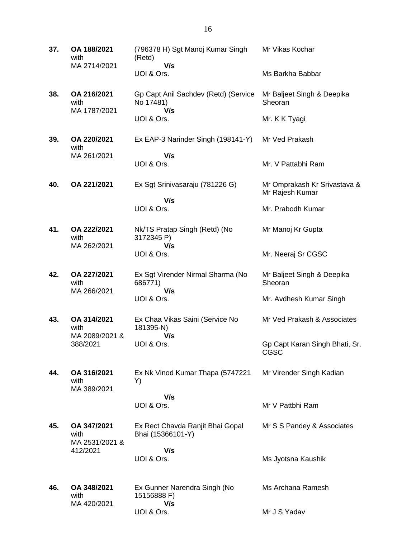| 37. | OA 188/2021<br>with<br>MA 2714/2021   | (796378 H) Sgt Manoj Kumar Singh<br>(Retd)               | Mr Vikas Kochar                                 |
|-----|---------------------------------------|----------------------------------------------------------|-------------------------------------------------|
|     |                                       | V/s<br>UOI & Ors.                                        | Ms Barkha Babbar                                |
| 38. | OA 216/2021<br>with<br>MA 1787/2021   | Gp Capt Anil Sachdev (Retd) (Service<br>No 17481)<br>V/s | Mr Baljeet Singh & Deepika<br>Sheoran           |
|     |                                       | UOI & Ors.                                               | Mr. K K Tyagi                                   |
| 39. | OA 220/2021<br>with                   | Ex EAP-3 Narinder Singh (198141-Y)                       | Mr Ved Prakash                                  |
|     | MA 261/2021                           | V/s                                                      |                                                 |
|     |                                       | UOI & Ors.                                               | Mr. V Pattabhi Ram                              |
| 40. | OA 221/2021                           | Ex Sgt Srinivasaraju (781226 G)<br>V/s                   | Mr Omprakash Kr Srivastava &<br>Mr Rajesh Kumar |
|     |                                       | UOI & Ors.                                               | Mr. Prabodh Kumar                               |
| 41. | OA 222/2021<br>with                   | Nk/TS Pratap Singh (Retd) (No<br>3172345 P)              | Mr Manoj Kr Gupta                               |
|     | MA 262/2021                           | V/s<br>UOI & Ors.                                        | Mr. Neeraj Sr CGSC                              |
| 42. | OA 227/2021<br>with<br>MA 266/2021    | Ex Sgt Virender Nirmal Sharma (No<br>686771)<br>V/s      | Mr Baljeet Singh & Deepika<br>Sheoran           |
|     |                                       | UOI & Ors.                                               | Mr. Avdhesh Kumar Singh                         |
| 43. | OA 314/2021<br>with<br>MA 2089/2021 & | Ex Chaa Vikas Saini (Service No<br>181395-N)<br>V/s      | Mr Ved Prakash & Associates                     |
|     | 388/2021                              | UOI & Ors.                                               | Gp Capt Karan Singh Bhati, Sr.<br>CGSC          |
| 44. | OA 316/2021<br>with<br>MA 389/2021    | Ex Nk Vinod Kumar Thapa (5747221<br>Y)                   | Mr Virender Singh Kadian                        |
|     |                                       | V/s                                                      |                                                 |
|     |                                       | UOI & Ors.                                               | Mr V Pattbhi Ram                                |
| 45. | OA 347/2021<br>with<br>MA 2531/2021 & | Ex Rect Chavda Ranjit Bhai Gopal<br>Bhai (15366101-Y)    | Mr S S Pandey & Associates                      |
|     | 412/2021                              | V/s                                                      |                                                 |
|     |                                       | UOI & Ors.                                               | Ms Jyotsna Kaushik                              |
| 46. | OA 348/2021<br>with                   | Ex Gunner Narendra Singh (No<br>15156888 F)              | Ms Archana Ramesh                               |
|     | MA 420/2021                           | V/s<br>UOI & Ors.                                        | Mr J S Yadav                                    |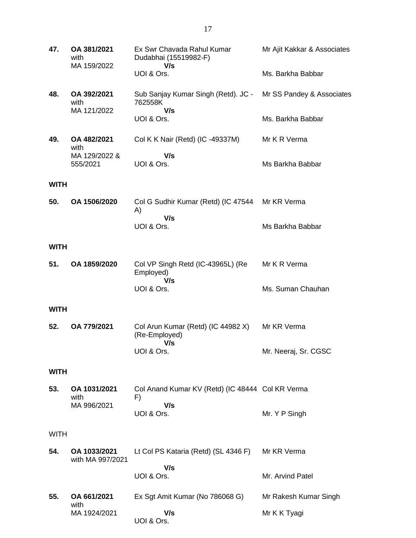| 47.         | OA 381/2021<br>with<br>MA 159/2022 | Ex Swr Chavada Rahul Kumar<br>Dudabhai (15519982-F)        | Mr Ajit Kakkar & Associates |
|-------------|------------------------------------|------------------------------------------------------------|-----------------------------|
|             |                                    | V/s<br>UOI & Ors.                                          | Ms. Barkha Babbar           |
| 48.         | OA 392/2021<br>with<br>MA 121/2022 | Sub Sanjay Kumar Singh (Retd). JC -<br>762558K             | Mr SS Pandey & Associates   |
|             |                                    | V/s<br>UOI & Ors.                                          | Ms. Barkha Babbar           |
| 49.         | OA 482/2021<br>with                | Col K K Nair (Retd) (IC -49337M)                           | Mr K R Verma                |
|             | MA 129/2022 &<br>555/2021          | V/s<br>UOI & Ors.                                          | Ms Barkha Babbar            |
| <b>WITH</b> |                                    |                                                            |                             |
| 50.         | OA 1506/2020                       | Col G Sudhir Kumar (Retd) (IC 47544<br>A)                  | Mr KR Verma                 |
|             |                                    | V/s<br>UOI & Ors.                                          | Ms Barkha Babbar            |
| <b>WITH</b> |                                    |                                                            |                             |
| 51.         | OA 1859/2020                       | Col VP Singh Retd (IC-43965L) (Re<br>Employed)<br>V/s      | Mr K R Verma                |
|             |                                    | UOI & Ors.                                                 | Ms. Suman Chauhan           |
| <b>WITH</b> |                                    |                                                            |                             |
| 52.         | OA 779/2021                        | Col Arun Kumar (Retd) (IC 44982 X)<br>(Re-Employed)<br>V/s | Mr KR Verma                 |
|             |                                    | UOI & Ors.                                                 | Mr. Neeraj, Sr. CGSC        |
| <b>WITH</b> |                                    |                                                            |                             |
| 53.         | OA 1031/2021<br>with               | Col Anand Kumar KV (Retd) (IC 48444 Col KR Verma<br>F)     |                             |
|             | MA 996/2021                        | V/s<br>UOI & Ors.                                          | Mr. Y P Singh               |
| <b>WITH</b> |                                    |                                                            |                             |
| 54.         | OA 1033/2021<br>with MA 997/2021   | Lt Col PS Kataria (Retd) (SL 4346 F)                       | Mr KR Verma                 |
|             |                                    | V/s<br>UOI & Ors.                                          | Mr. Arvind Patel            |
| 55.         | OA 661/2021<br>with                | Ex Sgt Amit Kumar (No 786068 G)                            | Mr Rakesh Kumar Singh       |
|             | MA 1924/2021                       | V/s<br>UOI & Ors.                                          | Mr K K Tyagi                |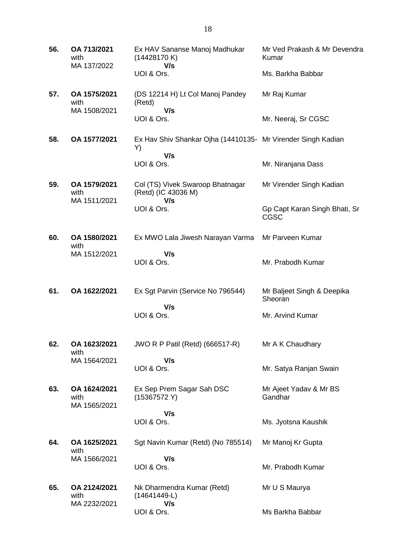| 56. | OA 713/2021<br>with<br>MA 137/2022   | Ex HAV Sananse Manoj Madhukar<br>(14428170K)<br>V/s                       | Mr Ved Prakash & Mr Devendra<br>Kumar        |
|-----|--------------------------------------|---------------------------------------------------------------------------|----------------------------------------------|
|     |                                      | UOI & Ors.                                                                | Ms. Barkha Babbar                            |
| 57. | OA 1575/2021<br>with<br>MA 1508/2021 | (DS 12214 H) Lt Col Manoj Pandey<br>(Retd)<br>V/s                         | Mr Raj Kumar                                 |
|     |                                      | UOI & Ors.                                                                | Mr. Neeraj, Sr CGSC                          |
| 58. | OA 1577/2021                         | Ex Hav Shiv Shankar Ojha (14410135- Mr Virender Singh Kadian<br>Y)<br>V/s |                                              |
|     |                                      | UOI & Ors.                                                                | Mr. Niranjana Dass                           |
| 59. | OA 1579/2021<br>with<br>MA 1511/2021 | Col (TS) Vivek Swaroop Bhatnagar<br>(Retd) (IC 43036 M)<br>V/s            | Mr Virender Singh Kadian                     |
|     |                                      | UOI & Ors.                                                                | Gp Capt Karan Singh Bhati, Sr<br><b>CGSC</b> |
| 60. | OA 1580/2021<br>with                 | Ex MWO Lala Jiwesh Narayan Varma                                          | Mr Parveen Kumar                             |
|     | MA 1512/2021                         | V/s<br>UOI & Ors.                                                         | Mr. Prabodh Kumar                            |
| 61. | OA 1622/2021                         | Ex Sgt Parvin (Service No 796544)                                         | Mr Baljeet Singh & Deepika<br>Sheoran        |
|     |                                      | V/s<br>UOI & Ors.                                                         | Mr. Arvind Kumar                             |
| 62. | OA 1623/2021<br>with                 | JWO R P Patil (Retd) (666517-R)                                           | Mr A K Chaudhary                             |
|     | MA 1564/2021                         | V/s<br>UOI & Ors.                                                         | Mr. Satya Ranjan Swain                       |
| 63. | OA 1624/2021<br>with<br>MA 1565/2021 | Ex Sep Prem Sagar Sah DSC<br>(15367572 Y)                                 | Mr Ajeet Yadav & Mr BS<br>Gandhar            |
|     |                                      | V/s<br>UOI & Ors.                                                         | Ms. Jyotsna Kaushik                          |
| 64. | OA 1625/2021<br>with                 | Sgt Navin Kumar (Retd) (No 785514)                                        | Mr Manoj Kr Gupta                            |
|     | MA 1566/2021                         | V/s<br>UOI & Ors.                                                         | Mr. Prabodh Kumar                            |
| 65. | OA 2124/2021<br>with                 | Nk Dharmendra Kumar (Retd)<br>(14641449-L)                                | Mr U S Maurya                                |
|     | MA 2232/2021                         | V/s<br>UOI & Ors.                                                         | Ms Barkha Babbar                             |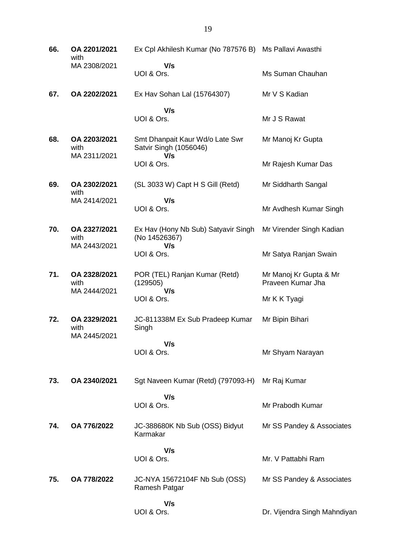| 66. | OA 2201/2021<br>with                 | Ex Cpl Akhilesh Kumar (No 787576 B)                              | Ms Pallavi Awasthi                          |
|-----|--------------------------------------|------------------------------------------------------------------|---------------------------------------------|
|     | MA 2308/2021                         | V/s<br>UOI & Ors.                                                | Ms Suman Chauhan                            |
| 67. | OA 2202/2021                         | Ex Hav Sohan Lal (15764307)                                      | Mr V S Kadian                               |
|     |                                      | V/s<br>UOI & Ors.                                                | Mr J S Rawat                                |
| 68. | OA 2203/2021<br>with<br>MA 2311/2021 | Smt Dhanpait Kaur Wd/o Late Swr<br>Satvir Singh (1056046)<br>V/s | Mr Manoj Kr Gupta                           |
|     |                                      | UOI & Ors.                                                       | Mr Rajesh Kumar Das                         |
| 69. | OA 2302/2021<br>with                 | (SL 3033 W) Capt H S Gill (Retd)                                 | Mr Siddharth Sangal                         |
|     | MA 2414/2021                         | V/s<br>UOI & Ors.                                                | Mr Avdhesh Kumar Singh                      |
| 70. | OA 2327/2021<br>with                 | Ex Hav (Hony Nb Sub) Satyavir Singh<br>(No 14526367)             | Mr Virender Singh Kadian                    |
|     | MA 2443/2021                         | V/s<br>UOI & Ors.                                                | Mr Satya Ranjan Swain                       |
| 71. | OA 2328/2021<br>with<br>MA 2444/2021 | POR (TEL) Ranjan Kumar (Retd)<br>(129505)<br>V/s                 | Mr Manoj Kr Gupta & Mr<br>Praveen Kumar Jha |
|     |                                      | UOI & Ors.                                                       | Mr K K Tyagi                                |
| 72. | OA 2329/2021<br>with<br>MA 2445/2021 | JC-811338M Ex Sub Pradeep Kumar<br>Singh                         | Mr Bipin Bihari                             |
|     |                                      | V/s<br>UOI & Ors.                                                | Mr Shyam Narayan                            |
| 73. | OA 2340/2021                         | Sgt Naveen Kumar (Retd) (797093-H)                               | Mr Raj Kumar                                |
|     |                                      | V/s<br>UOI & Ors.                                                | Mr Prabodh Kumar                            |
| 74. | OA 776/2022                          | JC-388680K Nb Sub (OSS) Bidyut<br>Karmakar                       | Mr SS Pandey & Associates                   |
|     |                                      | V/s<br>UOI & Ors.                                                | Mr. V Pattabhi Ram                          |
| 75. | OA 778/2022                          | JC-NYA 15672104F Nb Sub (OSS)<br>Ramesh Patgar                   | Mr SS Pandey & Associates                   |
|     |                                      | V/s<br>UOI & Ors.                                                | Dr. Vijendra Singh Mahndiyan                |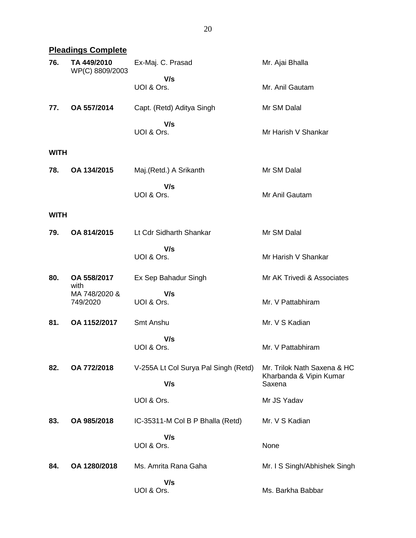## **Pleadings Complete**

| 76.         | TA 449/2010<br>WP(C) 8809/2003 | Ex-Maj. C. Prasad                           | Mr. Ajai Bhalla                                                  |
|-------------|--------------------------------|---------------------------------------------|------------------------------------------------------------------|
|             |                                | V/s<br>UOI & Ors.                           | Mr. Anil Gautam                                                  |
| 77.         | OA 557/2014                    | Capt. (Retd) Aditya Singh                   | Mr SM Dalal                                                      |
|             |                                | V/s<br>UOI & Ors.                           | Mr Harish V Shankar                                              |
| <b>WITH</b> |                                |                                             |                                                                  |
| 78.         | OA 134/2015                    | Maj.(Retd.) A Srikanth                      | Mr SM Dalal                                                      |
|             |                                | V/s<br>UOI & Ors.                           | Mr Anil Gautam                                                   |
| <b>WITH</b> |                                |                                             |                                                                  |
| 79.         | OA 814/2015                    | Lt Cdr Sidharth Shankar                     | Mr SM Dalal                                                      |
|             |                                | V/s<br>UOI & Ors.                           | Mr Harish V Shankar                                              |
| 80.         | OA 558/2017<br>with            | Ex Sep Bahadur Singh                        | Mr AK Trivedi & Associates                                       |
|             | MA 748/2020 &<br>749/2020      | V/s<br>UOI & Ors.                           | Mr. V Pattabhiram                                                |
| 81.         | OA 1152/2017                   | Smt Anshu                                   | Mr. V S Kadian                                                   |
|             |                                | V/s<br>UOI & Ors.                           | Mr. V Pattabhiram                                                |
| 82.         | OA 772/2018                    | V-255A Lt Col Surya Pal Singh (Retd)<br>V/s | Mr. Trilok Nath Saxena & HC<br>Kharbanda & Vipin Kumar<br>Saxena |
|             |                                | UOI & Ors.                                  | Mr JS Yadav                                                      |
| 83.         | OA 985/2018                    | IC-35311-M Col B P Bhalla (Retd)            | Mr. V S Kadian                                                   |
|             |                                | V/s<br>UOI & Ors.                           | None                                                             |
| 84.         | OA 1280/2018                   | Ms. Amrita Rana Gaha                        | Mr. I S Singh/Abhishek Singh                                     |
|             |                                | V/s<br>UOI & Ors.                           | Ms. Barkha Babbar                                                |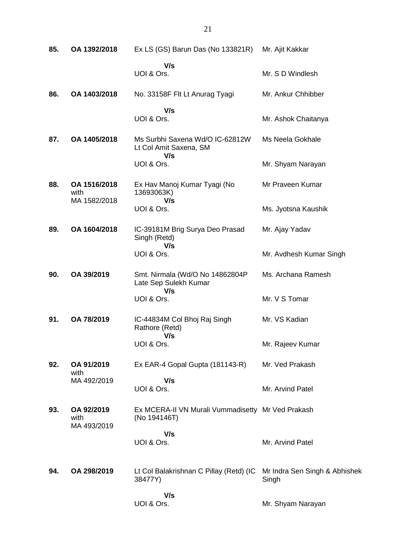| 85. | OA 1392/2018                         | Ex LS (GS) Barun Das (No 133821R)                                 | Mr. Ajit Kakkar                        |
|-----|--------------------------------------|-------------------------------------------------------------------|----------------------------------------|
|     |                                      | V/s<br>UOI & Ors.                                                 | Mr. S D Windlesh                       |
| 86. | OA 1403/2018                         | No. 33158F Flt Lt Anurag Tyagi                                    | Mr. Ankur Chhibber                     |
|     |                                      | V/s<br>UOI & Ors.                                                 | Mr. Ashok Chaitanya                    |
| 87. | OA 1405/2018                         | Ms Surbhi Saxena Wd/O IC-62812W<br>Lt Col Amit Saxena, SM<br>V/s  | Ms Neela Gokhale                       |
|     |                                      | UOI & Ors.                                                        | Mr. Shyam Narayan                      |
| 88. | OA 1516/2018<br>with<br>MA 1582/2018 | Ex Hav Manoj Kumar Tyagi (No<br>13693063K)<br>V/s                 | Mr Praveen Kumar                       |
|     |                                      | UOI & Ors.                                                        | Ms. Jyotsna Kaushik                    |
| 89. | OA 1604/2018                         | IC-39181M Brig Surya Deo Prasad<br>Singh (Retd)<br>V/s            | Mr. Ajay Yadav                         |
|     |                                      | UOI & Ors.                                                        | Mr. Avdhesh Kumar Singh                |
| 90. | OA 39/2019                           | Smt. Nirmala (Wd/O No 14862804P<br>Late Sep Sulekh Kumar<br>V/s   | Ms. Archana Ramesh                     |
|     |                                      | UOI & Ors.                                                        | Mr. V S Tomar                          |
| 91. | OA 78/2019                           | IC-44834M Col Bhoj Raj Singh<br>Rathore (Retd)<br>V/s             | Mr. VS Kadian                          |
|     |                                      | UOI & Ors.                                                        | Mr. Rajeev Kumar                       |
| 92. | OA 91/2019                           | Ex EAR-4 Gopal Gupta (181143-R)                                   | Mr. Ved Prakash                        |
|     | with<br>MA 492/2019                  | V/s<br>UOI & Ors.                                                 | Mr. Arvind Patel                       |
| 93. | OA 92/2019<br>with<br>MA 493/2019    | Ex MCERA-II VN Murali Vummadisetty Mr Ved Prakash<br>(No 194146T) |                                        |
|     |                                      | V/s<br>UOI & Ors.                                                 | Mr. Arvind Patel                       |
| 94. | OA 298/2019                          | Lt Col Balakrishnan C Pillay (Retd) (IC<br>38477Y)                | Mr Indra Sen Singh & Abhishek<br>Singh |
|     |                                      | V/s<br>UOI & Ors.                                                 | Mr. Shyam Narayan                      |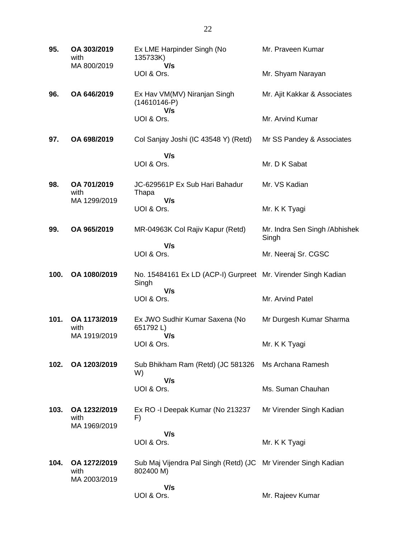| 95.  | OA 303/2019<br>with<br>MA 800/2019   | Ex LME Harpinder Singh (No<br>135733K)<br>V/s                               | Mr. Praveen Kumar                       |
|------|--------------------------------------|-----------------------------------------------------------------------------|-----------------------------------------|
|      |                                      | UOI & Ors.                                                                  | Mr. Shyam Narayan                       |
| 96.  | OA 646/2019                          | Ex Hav VM(MV) Niranjan Singh<br>$(14610146-P)$<br>V/s                       | Mr. Ajit Kakkar & Associates            |
|      |                                      | UOI & Ors.                                                                  | Mr. Arvind Kumar                        |
| 97.  | OA 698/2019                          | Col Sanjay Joshi (IC 43548 Y) (Retd)                                        | Mr SS Pandey & Associates               |
|      |                                      | V/s<br>UOI & Ors.                                                           | Mr. D K Sabat                           |
| 98.  | OA 701/2019<br>with                  | JC-629561P Ex Sub Hari Bahadur<br>Thapa                                     | Mr. VS Kadian                           |
|      | MA 1299/2019                         | V/s<br>UOI & Ors.                                                           | Mr. K K Tyagi                           |
| 99.  | OA 965/2019                          | MR-04963K Col Rajiv Kapur (Retd)                                            | Mr. Indra Sen Singh / Abhishek<br>Singh |
|      |                                      | V/s<br>UOI & Ors.                                                           | Mr. Neeraj Sr. CGSC                     |
| 100. | OA 1080/2019                         | No. 15484161 Ex LD (ACP-I) Gurpreet Mr. Virender Singh Kadian<br>Singh      |                                         |
|      |                                      | V/s<br>UOI & Ors.                                                           | Mr. Arvind Patel                        |
| 101. | OA 1173/2019<br>with                 | Ex JWO Sudhir Kumar Saxena (No<br>651792L)                                  | Mr Durgesh Kumar Sharma                 |
|      | MA 1919/2019                         | V/s<br>UOI & Ors.                                                           | Mr. K K Tyagi                           |
| 102. | OA 1203/2019                         | Sub Bhikham Ram (Retd) (JC 581326<br>W)                                     | Ms Archana Ramesh                       |
|      |                                      | V/s<br>UOI & Ors.                                                           | Ms. Suman Chauhan                       |
| 103. | OA 1232/2019<br>with<br>MA 1969/2019 | Ex RO - I Deepak Kumar (No 213237<br>F)                                     | Mr Virender Singh Kadian                |
|      |                                      | V/s<br>UOI & Ors.                                                           | Mr. K K Tyagi                           |
| 104. | OA 1272/2019<br>with<br>MA 2003/2019 | Sub Maj Vijendra Pal Singh (Retd) (JC Mr Virender Singh Kadian<br>802400 M) |                                         |
|      |                                      | V/s<br>UOI & Ors.                                                           | Mr. Rajeev Kumar                        |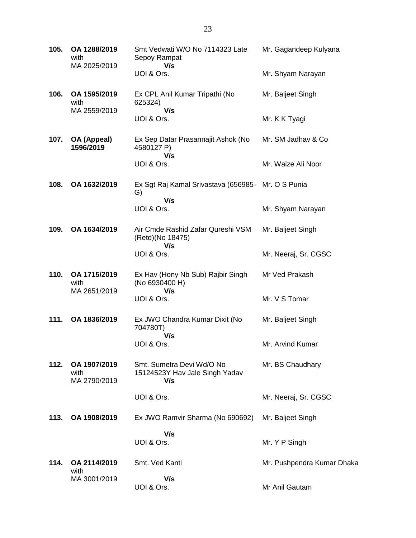| 105. | OA 1288/2019<br>with<br>MA 2025/2019 | Smt Vedwati W/O No 7114323 Late<br>Sepoy Rampat                    | Mr. Gagandeep Kulyana      |
|------|--------------------------------------|--------------------------------------------------------------------|----------------------------|
|      |                                      | V/s<br>UOI & Ors.                                                  | Mr. Shyam Narayan          |
| 106. | OA 1595/2019<br>with                 | Ex CPL Anil Kumar Tripathi (No<br>625324)                          | Mr. Baljeet Singh          |
|      | MA 2559/2019                         | V/s<br>UOI & Ors.                                                  | Mr. K K Tyagi              |
| 107. | OA (Appeal)<br>1596/2019             | Ex Sep Datar Prasannajit Ashok (No<br>4580127 P)<br>V/s            | Mr. SM Jadhav & Co         |
|      |                                      | UOI & Ors.                                                         | Mr. Waize Ali Noor         |
| 108. | OA 1632/2019                         | Ex Sgt Raj Kamal Srivastava (656985- Mr. O S Punia<br>G)<br>V/s    |                            |
|      |                                      | UOI & Ors.                                                         | Mr. Shyam Narayan          |
| 109. | OA 1634/2019                         | Air Cmde Rashid Zafar Qureshi VSM<br>(Retd)(No 18475)<br>V/s       | Mr. Baljeet Singh          |
|      |                                      | UOI & Ors.                                                         | Mr. Neeraj, Sr. CGSC       |
| 110. | OA 1715/2019<br>with                 | Ex Hav (Hony Nb Sub) Rajbir Singh<br>(No 6930400 H)<br>V/s         | Mr Ved Prakash             |
|      | MA 2651/2019                         | UOI & Ors.                                                         | Mr. V S Tomar              |
| 111. | OA 1836/2019                         | Ex JWO Chandra Kumar Dixit (No<br>704780T)<br>V/s                  | Mr. Baljeet Singh          |
|      |                                      | UOI & Ors.                                                         | Mr. Arvind Kumar           |
| 112. | OA 1907/2019<br>with<br>MA 2790/2019 | Smt. Sumetra Devi Wd/O No<br>15124523Y Hav Jale Singh Yadav<br>V/s | Mr. BS Chaudhary           |
|      |                                      | UOI & Ors.                                                         | Mr. Neeraj, Sr. CGSC       |
| 113. | OA 1908/2019                         | Ex JWO Ramvir Sharma (No 690692)                                   | Mr. Baljeet Singh          |
|      |                                      | V/s<br>UOI & Ors.                                                  | Mr. Y P Singh              |
|      |                                      |                                                                    |                            |
| 114. | OA 2114/2019<br>with                 | Smt. Ved Kanti                                                     | Mr. Pushpendra Kumar Dhaka |
|      | MA 3001/2019                         | V/s<br>UOI & Ors.                                                  | Mr Anil Gautam             |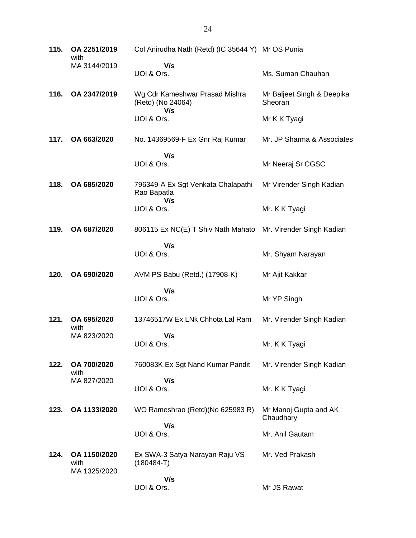| 115. | OA 2251/2019<br>with | Col Anirudha Nath (Retd) (IC 35644 Y) Mr OS Punia   |                                       |
|------|----------------------|-----------------------------------------------------|---------------------------------------|
|      | MA 3144/2019         | V/s<br>UOI & Ors.                                   | Ms. Suman Chauhan                     |
| 116. | OA 2347/2019         | Wg Cdr Kameshwar Prasad Mishra<br>(Retd) (No 24064) | Mr Baljeet Singh & Deepika<br>Sheoran |
|      |                      | V/s<br>UOI & Ors.                                   | Mr K K Tyagi                          |
| 117. | OA 663/2020          | No. 14369569-F Ex Gnr Raj Kumar                     | Mr. JP Sharma & Associates            |
|      |                      | V/s<br>UOI & Ors.                                   | Mr Neeraj Sr CGSC                     |
| 118. | OA 685/2020          | 796349-A Ex Sgt Venkata Chalapathi<br>Rao Bapatla   | Mr Virender Singh Kadian              |
|      |                      | V/s<br>UOI & Ors.                                   | Mr. K K Tyagi                         |
| 119. | OA 687/2020          | 806115 Ex NC(E) T Shiv Nath Mahato                  | Mr. Virender Singh Kadian             |
|      |                      | V/s<br>UOI & Ors.                                   | Mr. Shyam Narayan                     |
| 120. | OA 690/2020          | AVM PS Babu (Retd.) (17908-K)                       | Mr Ajit Kakkar                        |
|      |                      | V/s<br>UOI & Ors.                                   | Mr YP Singh                           |
| 121. | OA 695/2020<br>with  | 13746517W Ex LNk Chhota Lal Ram                     | Mr. Virender Singh Kadian             |
|      | MA 823/2020          | V/s<br>UOI & Ors.                                   | Mr. K K Tyagi                         |
| 122. | OA 700/2020<br>with  | 760083K Ex Sgt Nand Kumar Pandit                    | Mr. Virender Singh Kadian             |
|      | MA 827/2020          | V/s<br>UOI & Ors.                                   | Mr. K K Tyagi                         |
| 123. | OA 1133/2020         | WO Rameshrao (Retd)(No 625983 R)                    | Mr Manoj Gupta and AK<br>Chaudhary    |
|      |                      | V/s<br>UOI & Ors.                                   | Mr. Anil Gautam                       |
| 124. | OA 1150/2020<br>with | Ex SWA-3 Satya Narayan Raju VS<br>$(180484-T)$      | Mr. Ved Prakash                       |
|      | MA 1325/2020         | V/s<br>UOI & Ors.                                   | Mr JS Rawat                           |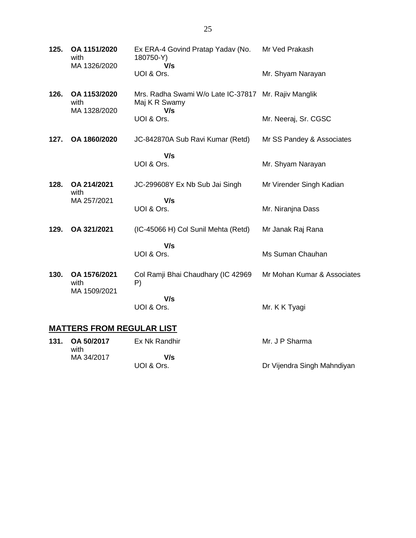| 125.                             | OA 1151/2020<br>with<br>MA 1326/2020 | Ex ERA-4 Govind Pratap Yadav (No.<br>180750-Y)<br>V/s                        | Mr Ved Prakash              |
|----------------------------------|--------------------------------------|------------------------------------------------------------------------------|-----------------------------|
|                                  |                                      | UOI & Ors.                                                                   | Mr. Shyam Narayan           |
| 126.                             | OA 1153/2020<br>with<br>MA 1328/2020 | Mrs. Radha Swami W/o Late IC-37817 Mr. Rajiv Manglik<br>Maj K R Swamy<br>V/s |                             |
|                                  |                                      | UOI & Ors.                                                                   | Mr. Neeraj, Sr. CGSC        |
| 127.                             | OA 1860/2020                         | JC-842870A Sub Ravi Kumar (Retd)                                             | Mr SS Pandey & Associates   |
|                                  |                                      | V/s<br>UOI & Ors.                                                            | Mr. Shyam Narayan           |
| 128.                             | OA 214/2021<br>with                  | JC-299608Y Ex Nb Sub Jai Singh                                               | Mr Virender Singh Kadian    |
|                                  | MA 257/2021                          | V/s<br>UOI & Ors.                                                            | Mr. Niranjna Dass           |
| 129.                             | OA 321/2021                          | (IC-45066 H) Col Sunil Mehta (Retd)                                          | Mr Janak Raj Rana           |
|                                  |                                      | V/s<br>UOI & Ors.                                                            | Ms Suman Chauhan            |
| 130.                             | OA 1576/2021<br>with<br>MA 1509/2021 | Col Ramji Bhai Chaudhary (IC 42969<br>P)                                     | Mr Mohan Kumar & Associates |
|                                  |                                      | V/s<br>UOI & Ors.                                                            | Mr. K K Tyagi               |
| <b>MATTERS FROM REGULAR LIST</b> |                                      |                                                                              |                             |

|  | 131. OA 50/2017<br>with | Ex Nk Randhir | Mr. J P Sharma              |
|--|-------------------------|---------------|-----------------------------|
|  | MA 34/2017              | V/s           |                             |
|  |                         | UOI & Ors.    | Dr Vijendra Singh Mahndiyan |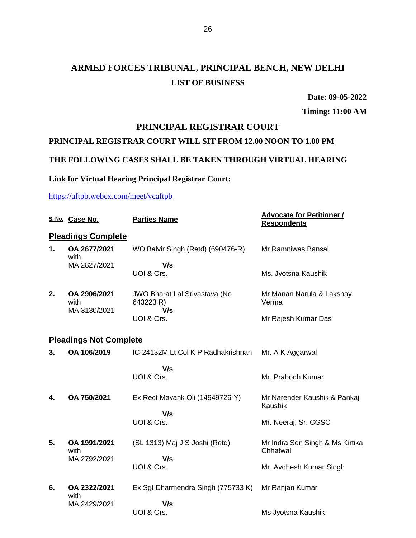**Date: 09-05-2022**

**Timing: 11:00 AM**

#### **PRINCIPAL REGISTRAR COURT**

#### **PRINCIPAL REGISTRAR COURT WILL SIT FROM 12.00 NOON TO 1.00 PM**

#### **THE FOLLOWING CASES SHALL BE TAKEN THROUGH VIRTUAL HEARING**

#### **Link for Virtual Hearing Principal Registrar Court:**

#### <https://aftpb.webex.com/meet/vcaftpb>

|    | S. No. Case No.                      | <b>Parties Name</b>                               | <b>Advocate for Petitioner /</b><br><b>Respondents</b> |
|----|--------------------------------------|---------------------------------------------------|--------------------------------------------------------|
|    | <b>Pleadings Complete</b>            |                                                   |                                                        |
| 1. | OA 2677/2021<br>with                 | WO Balvir Singh (Retd) (690476-R)                 | Mr Ramniwas Bansal                                     |
|    | MA 2827/2021                         | V/s<br>UOI & Ors.                                 | Ms. Jyotsna Kaushik                                    |
| 2. | OA 2906/2021<br>with<br>MA 3130/2021 | JWO Bharat Lal Srivastava (No<br>643223 R)<br>V/s | Mr Manan Narula & Lakshay<br>Verma                     |
|    |                                      | UOI & Ors.                                        | Mr Rajesh Kumar Das                                    |
|    | <b>Pleadings Not Complete</b>        |                                                   |                                                        |
| 3. | OA 106/2019                          | IC-24132M Lt Col K P Radhakrishnan                | Mr. A K Aggarwal                                       |
|    |                                      | V/s                                               |                                                        |
|    |                                      | UOI & Ors.                                        | Mr. Prabodh Kumar                                      |
| 4. | OA 750/2021                          | Ex Rect Mayank Oli (14949726-Y)                   | Mr Narender Kaushik & Pankaj<br>Kaushik                |
|    |                                      | V/s                                               |                                                        |
|    |                                      | UOI & Ors.                                        | Mr. Neeraj, Sr. CGSC                                   |
| 5. | OA 1991/2021<br>with                 | (SL 1313) Maj J S Joshi (Retd)                    | Mr Indra Sen Singh & Ms Kirtika<br>Chhatwal            |
|    | MA 2792/2021                         | V/s                                               |                                                        |
|    |                                      | UOI & Ors.                                        | Mr. Avdhesh Kumar Singh                                |
| 6. | OA 2322/2021<br>with                 | Ex Sgt Dharmendra Singh (775733 K)                | Mr Ranjan Kumar                                        |
|    | MA 2429/2021                         | V/s                                               |                                                        |
|    |                                      | UOI & Ors.                                        | Ms Jyotsna Kaushik                                     |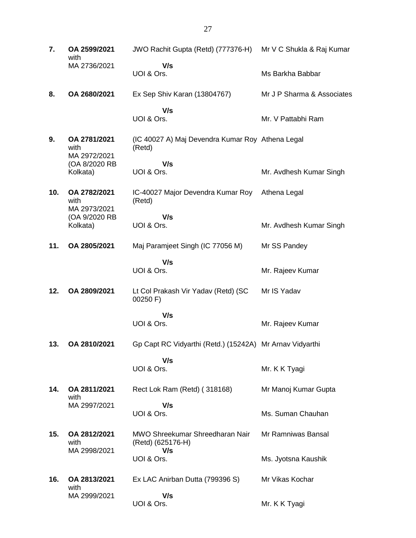**7. OA 2599/2021** with MA 2736/2021 JWO Rachit Gupta (Retd) (777376-H) Mr V C Shukla & Raj Kumar  **V/s** UOI & Ors. Ms Barkha Babbar **8. OA 2680/2021** Ex Sep Shiv Karan (13804767)  **V/s** UOI & Ors. Mr J P Sharma & Associates Mr. V Pattabhi Ram **9. OA 2781/2021** with MA 2972/2021 (OA 8/2020 RB Kolkata) (IC 40027 A) Maj Devendra Kumar Roy Athena Legal (Retd)  **V/s** UOI & Ors. Mr. Avdhesh Kumar Singh **10. OA 2782/2021** with MA 2973/2021 (OA 9/2020 RB Kolkata) IC-40027 Major Devendra Kumar Roy (Retd)  **V/s** UOI & Ors. Athena Legal Mr. Avdhesh Kumar Singh **11. OA 2805/2021** Maj Paramjeet Singh (IC 77056 M)  **V/s** UOI & Ors. Mr SS Pandey Mr. Rajeev Kumar **12. OA 2809/2021** Lt Col Prakash Vir Yadav (Retd) (SC 00250 F)  **V/s** UOI & Ors. Mr IS Yadav Mr. Rajeev Kumar **13. OA 2810/2021** Gp Capt RC Vidyarthi (Retd.) (15242A) Mr Arnav Vidyarthi  **V/s** UOI & Ors. Mr. K K Tyagi **14. OA 2811/2021** with MA 2997/2021 Rect Lok Ram (Retd) ( 318168)  **V/s** UOI & Ors. Mr Manoj Kumar Gupta Ms. Suman Chauhan **15. OA 2812/2021** with MA 2998/2021 MWO Shreekumar Shreedharan Nair (Retd) (625176-H)  **V/s** UOI & Ors. Mr Ramniwas Bansal Ms. Jyotsna Kaushik **16. OA 2813/2021** with MA 2999/2021 Ex LAC Anirban Dutta (799396 S)  **V/s** UOI & Ors. Mr Vikas Kochar Mr. K K Tyagi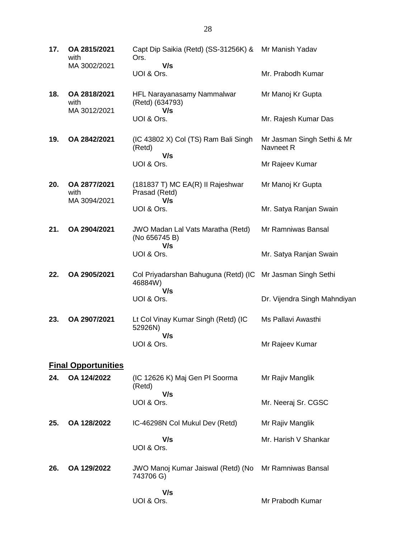**17. OA 2815/2021** with MA 3002/2021 Capt Dip Saikia (Retd) (SS-31256K) & Mr Manish Yadav Ors.  **V/s** UOI & Ors. Mr. Prabodh Kumar **18. OA 2818/2021** with MA 3012/2021 HFL Narayanasamy Nammalwar (Retd) (634793)  **V/s** UOI & Ors. Mr Manoj Kr Gupta Mr. Rajesh Kumar Das **19. OA 2842/2021** (IC 43802 X) Col (TS) Ram Bali Singh (Retd)  **V/s** UOI & Ors. Mr Jasman Singh Sethi & Mr Navneet R Mr Rajeev Kumar **20. OA 2877/2021** with MA 3094/2021 (181837 T) MC EA(R) II Rajeshwar Prasad (Retd)  **V/s** UOI & Ors. Mr Manoj Kr Gupta Mr. Satya Ranjan Swain **21. OA 2904/2021** JWO Madan Lal Vats Maratha (Retd) (No 656745 B)  **V/s** UOI & Ors. Mr Ramniwas Bansal Mr. Satya Ranjan Swain **22. OA 2905/2021** Col Priyadarshan Bahuguna (Retd) (IC Mr Jasman Singh Sethi 46884W)  **V/s** UOI & Ors. Dr. Vijendra Singh Mahndiyan **23. OA 2907/2021** Lt Col Vinay Kumar Singh (Retd) (IC 52926N)  **V/s** UOI & Ors. Ms Pallavi Awasthi Mr Rajeev Kumar **Final Opportunities 24. OA 124/2022** (IC 12626 K) Maj Gen PI Soorma (Retd)  **V/s** UOI & Ors. Mr Rajiv Manglik Mr. Neeraj Sr. CGSC **25. OA 128/2022** IC-46298N Col Mukul Dev (Retd)  **V/s** UOI & Ors. Mr Rajiv Manglik Mr. Harish V Shankar **26. OA 129/2022** JWO Manoj Kumar Jaiswal (Retd) (No Mr Ramniwas Bansal 743706 G)  **V/s**

UOI & Ors.

Mr Prabodh Kumar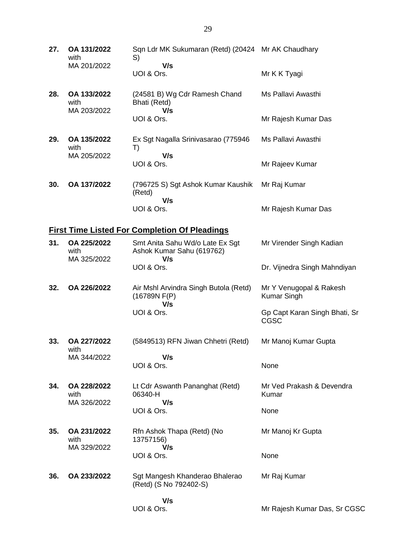**27. OA 131/2022** with MA 201/2022 Sqn Ldr MK Sukumaran (Retd) (20424 Mr AK Chaudhary S)  **V/s** UOI & Ors. Mr K K Tyagi **28. OA 133/2022** with MA 203/2022 (24581 B) Wg Cdr Ramesh Chand Bhati (Retd)  **V/s** UOI & Ors. Ms Pallavi Awasthi Mr Rajesh Kumar Das **29. OA 135/2022** with MA 205/2022 Ex Sgt Nagalla Srinivasarao (775946 T)  **V/s** UOI & Ors. Ms Pallavi Awasthi Mr Rajeev Kumar **30. OA 137/2022** (796725 S) Sgt Ashok Kumar Kaushik (Retd)  **V/s** UOI & Ors. Mr Raj Kumar Mr Rajesh Kumar Das **First Time Listed For Completion Of Pleadings 31. OA 225/2022** with MA 325/2022 Smt Anita Sahu Wd/o Late Ex Sgt Ashok Kumar Sahu (619762)  **V/s** UOI & Ors. Mr Virender Singh Kadian Dr. Vijnedra Singh Mahndiyan **32. OA 226/2022** Air Mshl Arvindra Singh Butola (Retd) (16789N F(P)  **V/s** UOI & Ors. Mr Y Venugopal & Rakesh Kumar Singh Gp Capt Karan Singh Bhati, Sr CGSC **33. OA 227/2022** with MA 344/2022 (5849513) RFN Jiwan Chhetri (Retd)  **V/s** UOI & Ors. Mr Manoj Kumar Gupta None **34. OA 228/2022** with MA 326/2022 Lt Cdr Aswanth Pananghat (Retd) 06340-H  **V/s** UOI & Ors. Mr Ved Prakash & Devendra Kumar None **35. OA 231/2022** with MA 329/2022 Rfn Ashok Thapa (Retd) (No 13757156)  **V/s** UOI & Ors. Mr Manoj Kr Gupta None **36. OA 233/2022** Sgt Mangesh Khanderao Bhalerao (Retd) (S No 792402-S)  **V/s** Mr Raj Kumar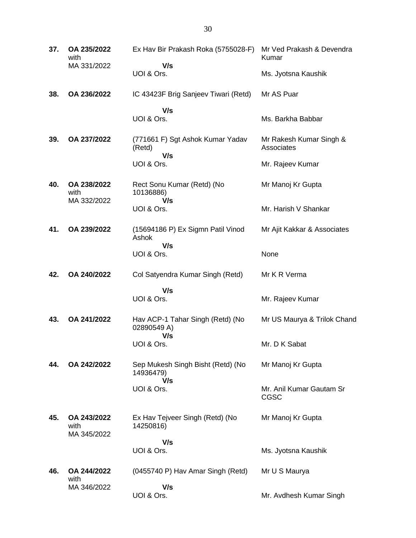| 37. | OA 235/2022<br>with                | Ex Hav Bir Prakash Roka (5755028-F)                   | Mr Ved Prakash & Devendra<br>Kumar    |
|-----|------------------------------------|-------------------------------------------------------|---------------------------------------|
|     | MA 331/2022                        | V/s<br>UOI & Ors.                                     | Ms. Jyotsna Kaushik                   |
| 38. | OA 236/2022                        | IC 43423F Brig Sanjeev Tiwari (Retd)                  | Mr AS Puar                            |
|     |                                    | V/s<br>UOI & Ors.                                     | Ms. Barkha Babbar                     |
| 39. | OA 237/2022                        | (771661 F) Sgt Ashok Kumar Yadav<br>(Retd)            | Mr Rakesh Kumar Singh &<br>Associates |
|     |                                    | V/s<br>UOI & Ors.                                     | Mr. Rajeev Kumar                      |
| 40. | OA 238/2022<br>with                | Rect Sonu Kumar (Retd) (No<br>10136886)               | Mr Manoj Kr Gupta                     |
|     | MA 332/2022                        | V/s<br>UOI & Ors.                                     | Mr. Harish V Shankar                  |
| 41. | OA 239/2022                        | (15694186 P) Ex Sigmn Patil Vinod<br>Ashok            | Mr Ajit Kakkar & Associates           |
|     |                                    | V/s<br>UOI & Ors.                                     | None                                  |
| 42. | OA 240/2022                        | Col Satyendra Kumar Singh (Retd)                      | Mr K R Verma                          |
|     |                                    | V/s<br>UOI & Ors.                                     | Mr. Rajeev Kumar                      |
| 43. | OA 241/2022                        | Hav ACP-1 Tahar Singh (Retd) (No<br>02890549 A)       | Mr US Maurya & Trilok Chand           |
|     |                                    | V/s<br>UOI & Ors.                                     | Mr. D K Sabat                         |
| 44. | OA 242/2022                        | Sep Mukesh Singh Bisht (Retd) (No<br>14936479)<br>V/s | Mr Manoj Kr Gupta                     |
|     |                                    | UOI & Ors.                                            | Mr. Anil Kumar Gautam Sr<br>CGSC      |
| 45. | OA 243/2022<br>with<br>MA 345/2022 | Ex Hav Tejveer Singh (Retd) (No<br>14250816)          | Mr Manoj Kr Gupta                     |
|     |                                    | V/s<br>UOI & Ors.                                     | Ms. Jyotsna Kaushik                   |
| 46. | OA 244/2022<br>with                | (0455740 P) Hav Amar Singh (Retd)                     | Mr U S Maurya                         |
|     | MA 346/2022                        | V/s<br>UOI & Ors.                                     | Mr. Avdhesh Kumar Singh               |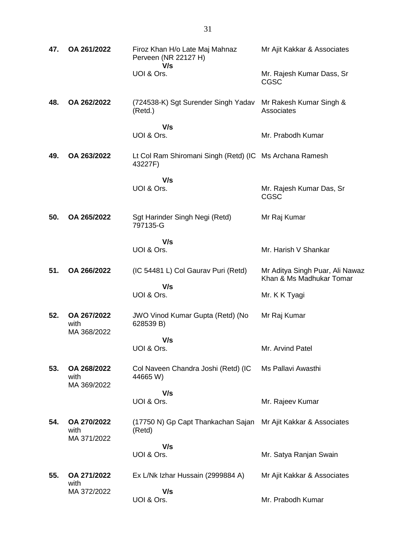| 47. | OA 261/2022                        | Firoz Khan H/o Late Maj Mahnaz<br>Perveen (NR 22127 H)<br>V/s      | Mr Ajit Kakkar & Associates                                 |
|-----|------------------------------------|--------------------------------------------------------------------|-------------------------------------------------------------|
|     |                                    | UOI & Ors.                                                         | Mr. Rajesh Kumar Dass, Sr<br><b>CGSC</b>                    |
| 48. | OA 262/2022                        | (724538-K) Sgt Surender Singh Yadav<br>(Retd.)                     | Mr Rakesh Kumar Singh &<br>Associates                       |
|     |                                    | V/s<br>UOI & Ors.                                                  | Mr. Prabodh Kumar                                           |
| 49. | OA 263/2022                        | Lt Col Ram Shiromani Singh (Retd) (IC Ms Archana Ramesh<br>43227F) |                                                             |
|     |                                    | V/s<br>UOI & Ors.                                                  |                                                             |
|     |                                    |                                                                    | Mr. Rajesh Kumar Das, Sr<br><b>CGSC</b>                     |
| 50. | OA 265/2022                        | Sgt Harinder Singh Negi (Retd)<br>797135-G                         | Mr Raj Kumar                                                |
|     |                                    | V/s                                                                |                                                             |
|     |                                    | UOI & Ors.                                                         | Mr. Harish V Shankar                                        |
| 51. | OA 266/2022                        | (IC 54481 L) Col Gaurav Puri (Retd)                                | Mr Aditya Singh Puar, Ali Nawaz<br>Khan & Ms Madhukar Tomar |
|     |                                    | V/s<br>UOI & Ors.                                                  | Mr. K K Tyagi                                               |
|     |                                    |                                                                    |                                                             |
| 52. | OA 267/2022<br>with<br>MA 368/2022 | JWO Vinod Kumar Gupta (Retd) (No<br>628539 B)                      | Mr Raj Kumar                                                |
|     |                                    | V/s                                                                |                                                             |
|     |                                    | UOI & Ors.                                                         | Mr. Arvind Patel                                            |
| 53. | OA 268/2022<br>with<br>MA 369/2022 | Col Naveen Chandra Joshi (Retd) (IC<br>44665 W)                    | Ms Pallavi Awasthi                                          |
|     |                                    | V/s                                                                |                                                             |
|     |                                    | UOI & Ors.                                                         | Mr. Rajeev Kumar                                            |
| 54. | OA 270/2022<br>with<br>MA 371/2022 | (17750 N) Gp Capt Thankachan Sajan<br>(Retd)                       | Mr Ajit Kakkar & Associates                                 |
|     |                                    | V/s                                                                |                                                             |
|     |                                    | UOI & Ors.                                                         | Mr. Satya Ranjan Swain                                      |
| 55. | OA 271/2022<br>with                | Ex L/Nk Izhar Hussain (2999884 A)                                  | Mr Ajit Kakkar & Associates                                 |
|     | MA 372/2022                        | V/s                                                                |                                                             |
|     |                                    | UOI & Ors.                                                         | Mr. Prabodh Kumar                                           |